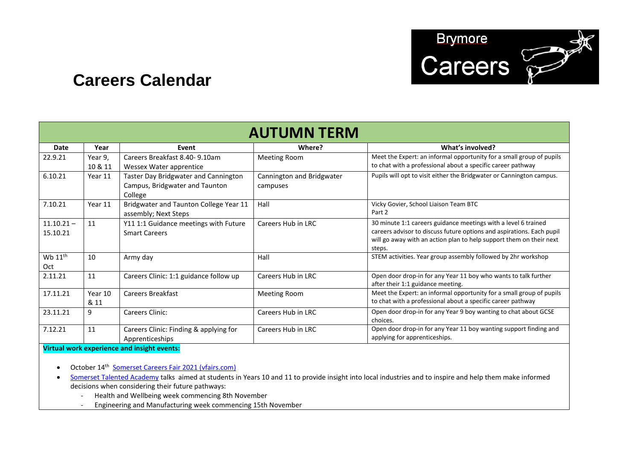

## **Careers Calendar**

| <b>AUTUMN TERM</b> |         |                                        |                           |                                                                       |
|--------------------|---------|----------------------------------------|---------------------------|-----------------------------------------------------------------------|
|                    |         |                                        |                           |                                                                       |
| Date               | Year    | Event                                  | Where?                    | What's involved?                                                      |
| 22.9.21            | Year 9, | Careers Breakfast 8.40-9.10am          | <b>Meeting Room</b>       | Meet the Expert: an informal opportunity for a small group of pupils  |
|                    | 10 & 11 | Wessex Water apprentice                |                           | to chat with a professional about a specific career pathway           |
| 6.10.21            | Year 11 | Taster Day Bridgwater and Cannington   | Cannington and Bridgwater | Pupils will opt to visit either the Bridgwater or Cannington campus.  |
|                    |         | Campus, Bridgwater and Taunton         | campuses                  |                                                                       |
|                    |         | College                                |                           |                                                                       |
| 7.10.21            | Year 11 | Bridgwater and Taunton College Year 11 | Hall                      | Vicky Govier, School Liaison Team BTC                                 |
|                    |         | assembly; Next Steps                   |                           | Part 2                                                                |
| $11.10.21 -$       | 11      | Y11 1:1 Guidance meetings with Future  | Careers Hub in LRC        | 30 minute 1:1 careers guidance meetings with a level 6 trained        |
| 15.10.21           |         | <b>Smart Careers</b>                   |                           | careers advisor to discuss future options and aspirations. Each pupil |
|                    |         |                                        |                           | will go away with an action plan to help support them on their next   |
|                    |         |                                        |                           | steps.                                                                |
| Wb $11th$          | 10      | Army day                               | Hall                      | STEM activities. Year group assembly followed by 2hr workshop         |
| Oct                |         |                                        |                           |                                                                       |
| 2.11.21            | 11      | Careers Clinic: 1:1 guidance follow up | Careers Hub in LRC        | Open door drop-in for any Year 11 boy who wants to talk further       |
|                    |         |                                        |                           | after their 1:1 guidance meeting.                                     |
| 17.11.21           | Year 10 | Careers Breakfast                      | <b>Meeting Room</b>       | Meet the Expert: an informal opportunity for a small group of pupils  |
|                    | & 11    |                                        |                           | to chat with a professional about a specific career pathway           |
| 23.11.21           | 9       | Careers Clinic:                        | Careers Hub in LRC        | Open door drop-in for any Year 9 boy wanting to chat about GCSE       |
|                    |         |                                        |                           | choices.                                                              |
| 7.12.21            | 11      | Careers Clinic: Finding & applying for | Careers Hub in LRC        | Open door drop-in for any Year 11 boy wanting support finding and     |
|                    |         | Apprenticeships                        |                           | applying for apprenticeships.                                         |

**Virtual work experience and insight events:**

• October 14<sup>th</sup> Somerset Careers Fair 2021 (vfairs.com)

- Somerset Talented Academy talks aimed at students in Years 10 and 11 to provide insight into local industries and to inspire and help them make informed decisions when considering their future pathways:
	- Health and Wellbeing week commencing 8th November
	- Engineering and Manufacturing week commencing 15th November